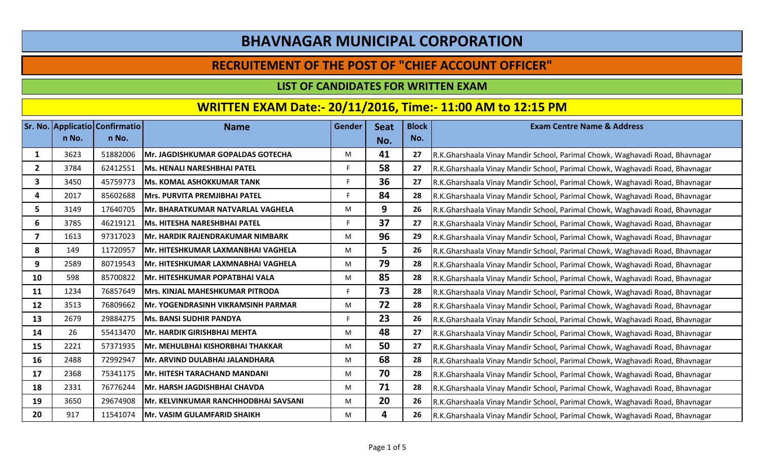### **RECRUITEMENT OF THE POST OF "CHIEF ACCOUNT OFFICER"**

#### **LIST OF CANDIDATES FOR WRITTEN EXAM**

|                |       | Sr. No. Applicatio Confirmatio | <b>Name</b>                               | Gender | <b>Seat</b> | <b>Block</b> | <b>Exam Centre Name &amp; Address</b>                                        |
|----------------|-------|--------------------------------|-------------------------------------------|--------|-------------|--------------|------------------------------------------------------------------------------|
|                | n No. | n No.                          |                                           |        | No.         | No.          |                                                                              |
| 1              | 3623  | 51882006                       | <b>Mr. JAGDISHKUMAR GOPALDAS GOTECHA</b>  | M      | 41          | 27           | R.K.Gharshaala Vinay Mandir School, Parimal Chowk, Waghavadi Road, Bhavnagar |
| $\overline{2}$ | 3784  | 62412551                       | <b>Ms. HENALI NARESHBHAI PATEL</b>        |        | 58          | 27           | R.K.Gharshaala Vinay Mandir School, Parimal Chowk, Waghavadi Road, Bhavnagar |
| 3              | 3450  | 45759773                       | <b>Ms. KOMAL ASHOKKUMAR TANK</b>          |        | 36          | 27           | R.K.Gharshaala Vinay Mandir School, Parimal Chowk, Waghavadi Road, Bhavnagar |
| 4              | 2017  | 85602688                       | Mrs. PURVITA PREMJIBHAI PATEL             |        | 84          | 28           | R.K.Gharshaala Vinay Mandir School, Parimal Chowk, Waghavadi Road, Bhavnagar |
| 5.             | 3149  | 17640705                       | Mr. BHARATKUMAR NATVARLAL VAGHELA         | M      | 9           | 26           | R.K.Gharshaala Vinay Mandir School, Parimal Chowk, Waghavadi Road, Bhavnagar |
| 6              | 3785  | 46219121                       | Ms. HITESHA NARESHBHAI PATEL              |        | 37          | 27           | R.K.Gharshaala Vinay Mandir School, Parimal Chowk, Waghavadi Road, Bhavnagar |
| 7              | 1613  | 97317023                       | Mr. HARDIK RAJENDRAKUMAR NIMBARK          | M      | 96          | 29           | R.K.Gharshaala Vinay Mandir School, Parimal Chowk, Waghavadi Road, Bhavnagar |
| 8              | 149   | 11720957                       | Mr. HITESHKUMAR LAXMANBHAI VAGHELA        | M      | 5           | 26           | R.K.Gharshaala Vinay Mandir School, Parimal Chowk, Waghavadi Road, Bhavnagar |
| 9              | 2589  | 80719543                       | Mr. HITESHKUMAR LAXMNABHAI VAGHELA        | M      | 79          | 28           | R.K.Gharshaala Vinay Mandir School, Parimal Chowk, Waghavadi Road, Bhavnagar |
| 10             | 598   | 85700822                       | Mr. HITESHKUMAR POPATBHAI VALA            | M      | 85          | 28           | R.K.Gharshaala Vinay Mandir School, Parimal Chowk, Waghavadi Road, Bhavnagar |
| 11             | 1234  | 76857649                       | Mrs. KINJAL MAHESHKUMAR PITRODA           |        | 73          | 28           | R.K.Gharshaala Vinay Mandir School, Parimal Chowk, Waghavadi Road, Bhavnagar |
| 12             | 3513  | 76809662                       | <b>Mr. YOGENDRASINH VIKRAMSINH PARMAR</b> | M      | 72          | 28           | R.K.Gharshaala Vinay Mandir School, Parimal Chowk, Waghavadi Road, Bhavnagar |
| 13             | 2679  | 29884275                       | <b>Ms. BANSI SUDHIR PANDYA</b>            |        | 23          | 26           | R.K.Gharshaala Vinay Mandir School, Parimal Chowk, Waghavadi Road, Bhavnagar |
| 14             | 26    | 55413470                       | <b>Mr. HARDIK GIRISHBHAI MEHTA</b>        | M      | 48          | 27           | R.K.Gharshaala Vinay Mandir School, Parimal Chowk, Waghavadi Road, Bhavnagar |
| 15             | 2221  | 57371935                       | Mr. MEHULBHAI KISHORBHAI THAKKAR          | M      | 50          | 27           | R.K.Gharshaala Vinay Mandir School, Parimal Chowk, Waghavadi Road, Bhavnagar |
| 16             | 2488  | 72992947                       | Mr. ARVIND DULABHAI JALANDHARA            | M      | 68          | 28           | R.K.Gharshaala Vinay Mandir School, Parimal Chowk, Waghavadi Road, Bhavnagar |
| 17             | 2368  | 75341175                       | Mr. HITESH TARACHAND MANDANI              | M      | 70          | 28           | R.K.Gharshaala Vinay Mandir School, Parimal Chowk, Waghavadi Road, Bhavnagar |
| 18             | 2331  | 76776244                       | Mr. HARSH JAGDISHBHAI CHAVDA              | M      | 71          | 28           | R.K.Gharshaala Vinay Mandir School, Parimal Chowk, Waghavadi Road, Bhavnagar |
| 19             | 3650  | 29674908                       | Mr. KELVINKUMAR RANCHHODBHAI SAVSANI      | M      | 20          | 26           | R.K.Gharshaala Vinay Mandir School, Parimal Chowk, Waghavadi Road, Bhavnagar |
| 20             | 917   | 11541074                       | <b>Mr. VASIM GULAMFARID SHAIKH</b>        | M      | 4           | 26           | R.K.Gharshaala Vinay Mandir School, Parimal Chowk, Waghavadi Road, Bhavnagar |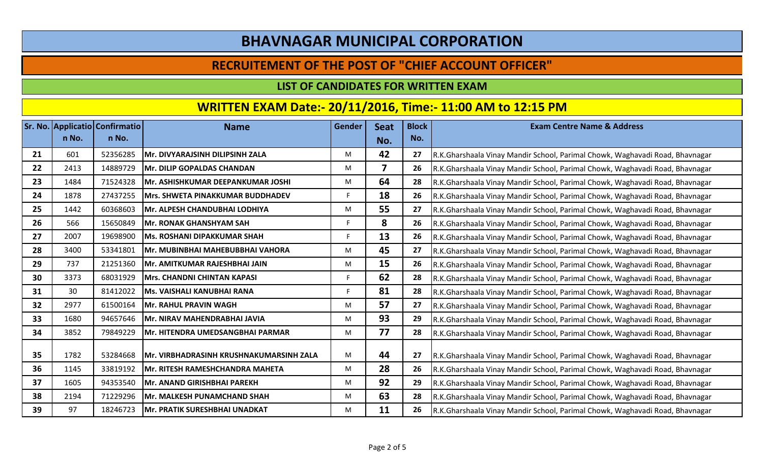### **RECRUITEMENT OF THE POST OF "CHIEF ACCOUNT OFFICER"**

#### **LIST OF CANDIDATES FOR WRITTEN EXAM**

|    | n No. | <b>Sr. No. Applicatio Confirmatio</b><br>n No. | <b>Name</b>                             | Gender | <b>Seat</b> | <b>Block</b> | <b>Exam Centre Name &amp; Address</b>                                        |
|----|-------|------------------------------------------------|-----------------------------------------|--------|-------------|--------------|------------------------------------------------------------------------------|
|    |       |                                                |                                         |        | No.         | No.          |                                                                              |
| 21 | 601   | 52356285                                       | Mr. DIVYARAJSINH DILIPSINH ZALA         | М      | 42          | 27           | R.K.Gharshaala Vinay Mandir School, Parimal Chowk, Waghavadi Road, Bhavnagar |
| 22 | 2413  | 14889729                                       | Mr. DILIP GOPALDAS CHANDAN              | M      | 7           | 26           | R.K.Gharshaala Vinay Mandir School, Parimal Chowk, Waghavadi Road, Bhavnagar |
| 23 | 1484  | 71524328                                       | Mr. ASHISHKUMAR DEEPANKUMAR JOSHI       | M      | 64          | 28           | R.K.Gharshaala Vinay Mandir School, Parimal Chowk, Waghavadi Road, Bhavnagar |
| 24 | 1878  | 27437255                                       | <b>Mrs. SHWETA PINAKKUMAR BUDDHADEV</b> | F      | 18          | 26           | R.K.Gharshaala Vinay Mandir School, Parimal Chowk, Waghavadi Road, Bhavnagar |
| 25 | 1442  | 60368603                                       | Mr. ALPESH CHANDUBHAI LODHIYA           | M      | 55          | 27           | R.K.Gharshaala Vinay Mandir School, Parimal Chowk, Waghavadi Road, Bhavnagar |
| 26 | 566   | 15650849                                       | <b>Mr. RONAK GHANSHYAM SAH</b>          | F      | 8           | 26           | R.K.Gharshaala Vinay Mandir School, Parimal Chowk, Waghavadi Road, Bhavnagar |
| 27 | 2007  | 19698900                                       | <b>Ms. ROSHANI DIPAKKUMAR SHAH</b>      | F      | 13          | 26           | R.K.Gharshaala Vinay Mandir School, Parimal Chowk, Waghavadi Road, Bhavnagar |
| 28 | 3400  | 53341801                                       | Mr. MUBINBHAI MAHEBUBBHAI VAHORA        | M      | 45          | 27           | R.K.Gharshaala Vinay Mandir School, Parimal Chowk, Waghavadi Road, Bhavnagar |
| 29 | 737   | 21251360                                       | Mr. AMITKUMAR RAJESHBHAI JAIN           | M      | 15          | 26           | R.K.Gharshaala Vinay Mandir School, Parimal Chowk, Waghavadi Road, Bhavnagar |
| 30 | 3373  | 68031929                                       | <b>Mrs. CHANDNI CHINTAN KAPASI</b>      | F      | 62          | 28           | R.K.Gharshaala Vinay Mandir School, Parimal Chowk, Waghavadi Road, Bhavnagar |
| 31 | 30    | 81412022                                       | <b>Ms. VAISHALI KANUBHAI RANA</b>       | F      | 81          | 28           | R.K.Gharshaala Vinay Mandir School, Parimal Chowk, Waghavadi Road, Bhavnagar |
| 32 | 2977  | 61500164                                       | <b>Mr. RAHUL PRAVIN WAGH</b>            | M      | 57          | 27           | R.K.Gharshaala Vinay Mandir School, Parimal Chowk, Waghavadi Road, Bhavnagar |
| 33 | 1680  | 94657646                                       | Mr. NIRAV MAHENDRABHAI JAVIA            | M      | 93          | 29           | R.K.Gharshaala Vinay Mandir School, Parimal Chowk, Waghavadi Road, Bhavnagar |
| 34 | 3852  | 79849229                                       | Mr. HITENDRA UMEDSANGBHAI PARMAR        | M      | 77          | 28           | R.K.Gharshaala Vinay Mandir School, Parimal Chowk, Waghavadi Road, Bhavnagar |
|    |       |                                                |                                         |        |             |              |                                                                              |
| 35 | 1782  | 53284668                                       | Mr. VIRBHADRASINH KRUSHNAKUMARSINH ZALA | M      | 44          | 27           | R.K.Gharshaala Vinay Mandir School, Parimal Chowk, Waghavadi Road, Bhavnagar |
| 36 | 1145  | 33819192                                       | <b>Mr. RITESH RAMESHCHANDRA MAHETA</b>  | M      | 28          | 26           | R.K.Gharshaala Vinay Mandir School, Parimal Chowk, Waghavadi Road, Bhavnagar |
| 37 | 1605  | 94353540                                       | Mr. ANAND GIRISHBHAI PAREKH             | M      | 92          | 29           | R.K.Gharshaala Vinay Mandir School, Parimal Chowk, Waghavadi Road, Bhavnagar |
| 38 | 2194  | 71229296                                       | <b>Mr. MALKESH PUNAMCHAND SHAH</b>      | M      | 63          | 28           | R.K.Gharshaala Vinay Mandir School, Parimal Chowk, Waghavadi Road, Bhavnagar |
| 39 | 97    | 18246723                                       | Mr. PRATIK SURESHBHAI UNADKAT           | M      | 11          | 26           | R.K.Gharshaala Vinay Mandir School, Parimal Chowk, Waghavadi Road, Bhavnagar |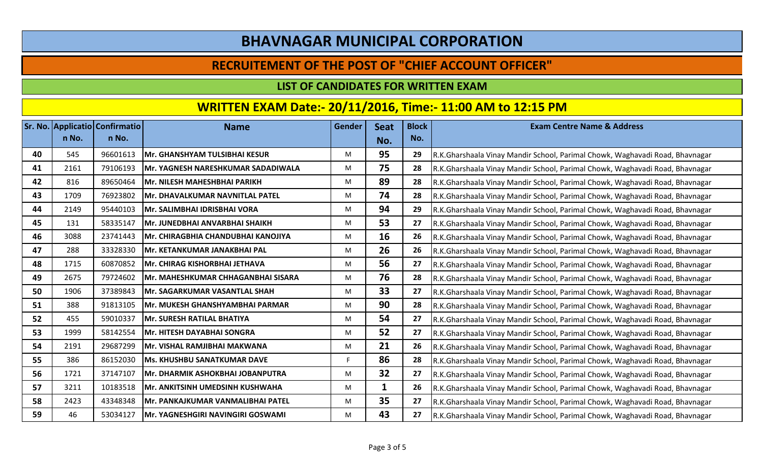### **RECRUITEMENT OF THE POST OF "CHIEF ACCOUNT OFFICER"**

#### **LIST OF CANDIDATES FOR WRITTEN EXAM**

|    |       | Sr. No. Applicatio Confirmatio | <b>Name</b>                        | <b>Gender</b> | <b>Seat</b> | <b>Block</b> | <b>Exam Centre Name &amp; Address</b>                                        |
|----|-------|--------------------------------|------------------------------------|---------------|-------------|--------------|------------------------------------------------------------------------------|
|    | n No. | n No.                          |                                    |               | No.         | No.          |                                                                              |
| 40 | 545   | 96601613                       | Mr. GHANSHYAM TULSIBHAI KESUR      | M             | 95          | 29           | R.K.Gharshaala Vinay Mandir School, Parimal Chowk, Waghavadi Road, Bhavnagar |
| 41 | 2161  | 79106193                       | Mr. YAGNESH NARESHKUMAR SADADIWALA | M             | 75          | 28           | R.K.Gharshaala Vinay Mandir School, Parimal Chowk, Waghavadi Road, Bhavnagar |
| 42 | 816   | 89650464                       | Mr. NILESH MAHESHBHAI PARIKH       | M             | 89          | 28           | R.K.Gharshaala Vinay Mandir School, Parimal Chowk, Waghavadi Road, Bhavnagar |
| 43 | 1709  | 76923802                       | Mr. DHAVALKUMAR NAVNITLAL PATEL    | M             | 74          | 28           | R.K.Gharshaala Vinay Mandir School, Parimal Chowk, Waghavadi Road, Bhavnagar |
| 44 | 2149  | 95440103                       | Mr. SALIMBHAI IDRISBHAI VORA       | M             | 94          | 29           | R.K.Gharshaala Vinay Mandir School, Parimal Chowk, Waghavadi Road, Bhavnagar |
| 45 | 131   | 58335147                       | Mr. JUNEDBHAI ANVARBHAI SHAIKH     | M             | 53          | 27           | R.K.Gharshaala Vinay Mandir School, Parimal Chowk, Waghavadi Road, Bhavnagar |
| 46 | 3088  | 23741443                       | Mr. CHIRAGBHIA CHANDUBHAI KANOJIYA | M             | 16          | 26           | R.K.Gharshaala Vinay Mandir School, Parimal Chowk, Waghavadi Road, Bhavnagar |
| 47 | 288   | 33328330                       | Mr. KETANKUMAR JANAKBHAI PAL       | M             | 26          | 26           | R.K.Gharshaala Vinay Mandir School, Parimal Chowk, Waghavadi Road, Bhavnagar |
| 48 | 1715  | 60870852                       | Mr. CHIRAG KISHORBHAI JETHAVA      | M             | 56          | 27           | R.K.Gharshaala Vinay Mandir School, Parimal Chowk, Waghavadi Road, Bhavnagar |
| 49 | 2675  | 79724602                       | Mr. MAHESHKUMAR CHHAGANBHAI SISARA | M             | 76          | 28           | R.K.Gharshaala Vinay Mandir School, Parimal Chowk, Waghavadi Road, Bhavnagar |
| 50 | 1906  | 37389843                       | Mr. SAGARKUMAR VASANTLAL SHAH      | M             | 33          | 27           | R.K.Gharshaala Vinay Mandir School, Parimal Chowk, Waghavadi Road, Bhavnagar |
| 51 | 388   | 91813105                       | Mr. MUKESH GHANSHYAMBHAI PARMAR    | M             | 90          | 28           | R.K.Gharshaala Vinay Mandir School, Parimal Chowk, Waghavadi Road, Bhavnagar |
| 52 | 455   | 59010337                       | Mr. SURESH RATILAL BHATIYA         | M             | 54          | 27           | R.K.Gharshaala Vinay Mandir School, Parimal Chowk, Waghavadi Road, Bhavnagar |
| 53 | 1999  | 58142554                       | Mr. HITESH DAYABHAI SONGRA         | M             | 52          | 27           | R.K.Gharshaala Vinay Mandir School, Parimal Chowk, Waghavadi Road, Bhavnagar |
| 54 | 2191  | 29687299                       | Mr. VISHAL RAMJIBHAI MAKWANA       | M             | 21          | 26           | R.K.Gharshaala Vinay Mandir School, Parimal Chowk, Waghavadi Road, Bhavnagar |
| 55 | 386   | 86152030                       | <b>Ms. KHUSHBU SANATKUMAR DAVE</b> |               | 86          | 28           | R.K.Gharshaala Vinay Mandir School, Parimal Chowk, Waghavadi Road, Bhavnagar |
| 56 | 1721  | 37147107                       | Mr. DHARMIK ASHOKBHAI JOBANPUTRA   | M             | 32          | 27           | R.K.Gharshaala Vinay Mandir School, Parimal Chowk, Waghavadi Road, Bhavnagar |
| 57 | 3211  | 10183518                       | Mr. ANKITSINH UMEDSINH KUSHWAHA    | M             |             | 26           | R.K.Gharshaala Vinay Mandir School, Parimal Chowk, Waghavadi Road, Bhavnagar |
| 58 | 2423  | 43348348                       | Mr. PANKAJKUMAR VANMALIBHAI PATEL  | M             | 35          | 27           | R.K.Gharshaala Vinay Mandir School, Parimal Chowk, Waghavadi Road, Bhavnagar |
| 59 | 46    | 53034127                       | Mr. YAGNESHGIRI NAVINGIRI GOSWAMI  | M             | 43          | 27           | R.K.Gharshaala Vinay Mandir School, Parimal Chowk, Waghavadi Road, Bhavnagar |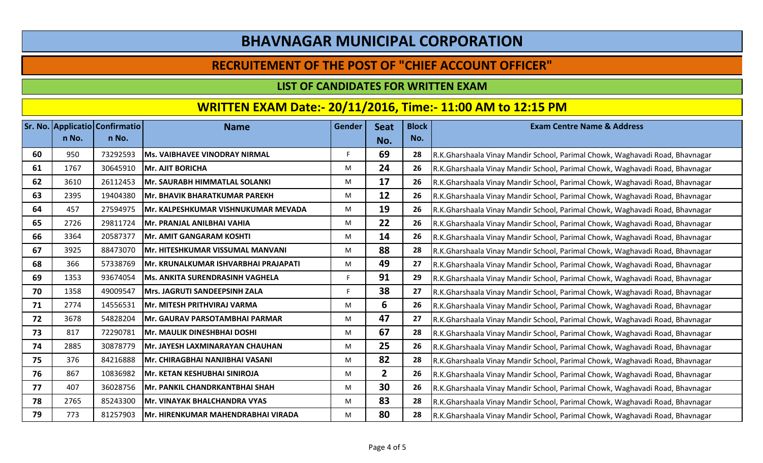### **RECRUITEMENT OF THE POST OF "CHIEF ACCOUNT OFFICER"**

#### **LIST OF CANDIDATES FOR WRITTEN EXAM**

|    |       | Sr. No. Applicatio Confirmatio | <b>Name</b>                            | <b>Gender</b> | <b>Seat</b>    | <b>Block</b> | <b>Exam Centre Name &amp; Address</b>                                        |
|----|-------|--------------------------------|----------------------------------------|---------------|----------------|--------------|------------------------------------------------------------------------------|
|    | n No. | n No.                          |                                        |               | No.            | No.          |                                                                              |
| 60 | 950   | 73292593                       | <b>Ms. VAIBHAVEE VINODRAY NIRMAL</b>   |               | 69             | 28           | R.K.Gharshaala Vinay Mandir School, Parimal Chowk, Waghavadi Road, Bhavnagar |
| 61 | 1767  | 30645910                       | <b>Mr. AJIT BORICHA</b>                | M             | 24             | 26           | R.K.Gharshaala Vinay Mandir School, Parimal Chowk, Waghavadi Road, Bhavnagar |
| 62 | 3610  | 26112453                       | Mr. SAURABH HIMMATLAL SOLANKI          | M             | 17             | 26           | R.K.Gharshaala Vinay Mandir School, Parimal Chowk, Waghavadi Road, Bhavnagar |
| 63 | 2395  | 19404380                       | Mr. BHAVIK BHARATKUMAR PAREKH          | M             | 12             | 26           | R.K.Gharshaala Vinay Mandir School, Parimal Chowk, Waghavadi Road, Bhavnagar |
| 64 | 457   | 27594975                       | Mr. KALPESHKUMAR VISHNUKUMAR MEVADA    | M             | 19             | 26           | R.K.Gharshaala Vinay Mandir School, Parimal Chowk, Waghavadi Road, Bhavnagar |
| 65 | 2726  | 29811724                       | Mr. PRANJAL ANILBHAI VAHIA             | M             | 22             | 26           | R.K.Gharshaala Vinay Mandir School, Parimal Chowk, Waghavadi Road, Bhavnagar |
| 66 | 3364  | 20587377                       | Mr. AMIT GANGARAM KOSHTI               | M             | 14             | 26           | R.K.Gharshaala Vinay Mandir School, Parimal Chowk, Waghavadi Road, Bhavnagar |
| 67 | 3925  | 88473070                       | Mr. HITESHKUMAR VISSUMAL MANVANI       | M             | 88             | 28           | R.K.Gharshaala Vinay Mandir School, Parimal Chowk, Waghavadi Road, Bhavnagar |
| 68 | 366   | 57338769                       | Mr. KRUNALKUMAR ISHVARBHAI PRAJAPATI   | M             | 49             | 27           | R.K.Gharshaala Vinay Mandir School, Parimal Chowk, Waghavadi Road, Bhavnagar |
| 69 | 1353  | 93674054                       | <b>Ms. ANKITA SURENDRASINH VAGHELA</b> |               | 91             | 29           | R.K.Gharshaala Vinay Mandir School, Parimal Chowk, Waghavadi Road, Bhavnagar |
| 70 | 1358  | 49009547                       | Mrs. JAGRUTI SANDEEPSINH ZALA          |               | 38             | 27           | R.K.Gharshaala Vinay Mandir School, Parimal Chowk, Waghavadi Road, Bhavnagar |
| 71 | 2774  | 14556531                       | Mr. MITESH PRITHVIRAJ VARMA            | M             | 6              | 26           | R.K.Gharshaala Vinay Mandir School, Parimal Chowk, Waghavadi Road, Bhavnagar |
| 72 | 3678  | 54828204                       | Mr. GAURAV PARSOTAMBHAI PARMAR         | M             | 47             | 27           | R.K.Gharshaala Vinay Mandir School, Parimal Chowk, Waghavadi Road, Bhavnagar |
| 73 | 817   | 72290781                       | Mr. MAULIK DINESHBHAI DOSHI            | M             | 67             | 28           | R.K.Gharshaala Vinay Mandir School, Parimal Chowk, Waghavadi Road, Bhavnagar |
| 74 | 2885  | 30878779                       | Mr. JAYESH LAXMINARAYAN CHAUHAN        | M             | 25             | 26           | R.K.Gharshaala Vinay Mandir School, Parimal Chowk, Waghavadi Road, Bhavnagar |
| 75 | 376   | 84216888                       | Mr. CHIRAGBHAI NANJIBHAI VASANI        | M             | 82             | 28           | R.K.Gharshaala Vinay Mandir School, Parimal Chowk, Waghavadi Road, Bhavnagar |
| 76 | 867   | 10836982                       | Mr. KETAN KESHUBHAI SINIROJA           | M             | $\overline{2}$ | 26           | R.K.Gharshaala Vinay Mandir School, Parimal Chowk, Waghavadi Road, Bhavnagar |
| 77 | 407   | 36028756                       | Mr. PANKIL CHANDRKANTBHAI SHAH         | M             | 30             | 26           | R.K.Gharshaala Vinay Mandir School, Parimal Chowk, Waghavadi Road, Bhavnagar |
| 78 | 2765  | 85243300                       | Mr. VINAYAK BHALCHANDRA VYAS           | M             | 83             | 28           | R.K.Gharshaala Vinay Mandir School, Parimal Chowk, Waghavadi Road, Bhavnagar |
| 79 | 773   | 81257903                       | Mr. HIRENKUMAR MAHENDRABHAI VIRADA     | M             | 80             | 28           | R.K.Gharshaala Vinay Mandir School, Parimal Chowk, Waghavadi Road, Bhavnagar |